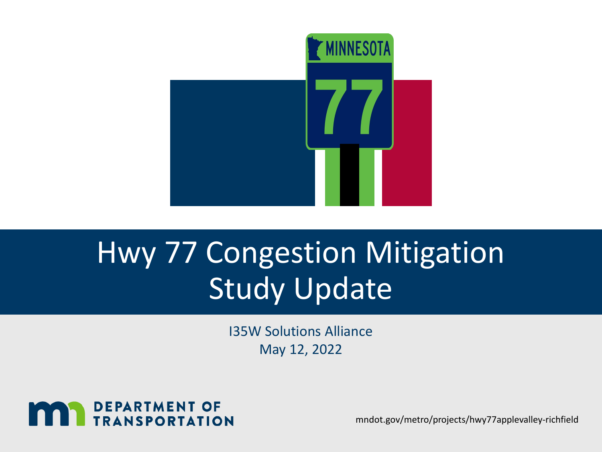

## Hwy 77 Congestion Mitigation Study Update

I35W Solutions Alliance May 12, 2022



mndot.gov/metro/projects/hwy77applevalley-richfield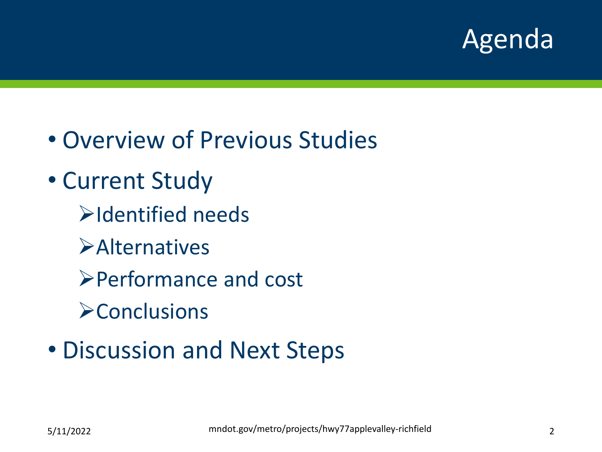

- Overview of Previous Studies
- Current Study
	- Identified needs
	- **Example 12**
	- Performance and cost
	- **Exercusions**
- Discussion and Next Steps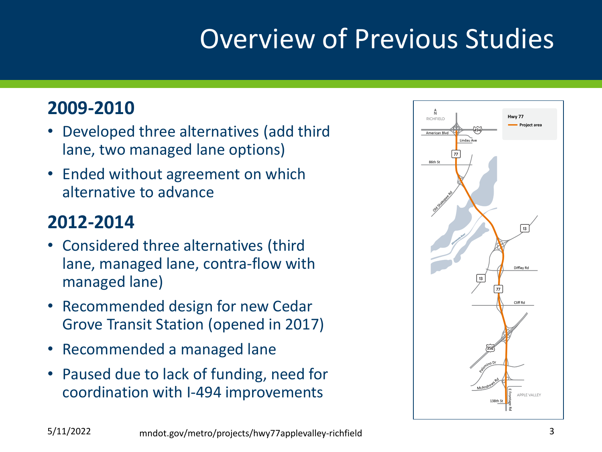## Overview of Previous Studies

### **2009-2010**

- Developed three alternatives (add third lane, two managed lane options)
- Ended without agreement on which alternative to advance

### **2012-2014**

- Considered three alternatives (third lane, managed lane, contra-flow with managed lane)
- Recommended design for new Cedar Grove Transit Station (opened in 2017)
- Recommended a managed lane
- Paused due to lack of funding, need for coordination with I-494 improvements

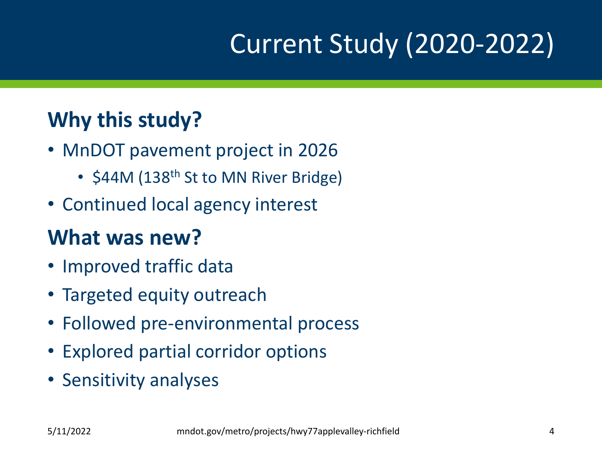## Current Study (2020-2022)

## **Why this study?**

- MnDOT pavement project in 2026
	- \$44M (138<sup>th</sup> St to MN River Bridge)
- Continued local agency interest

## **What was new?**

- Improved traffic data
- Targeted equity outreach
- Followed pre-environmental process
- Explored partial corridor options
- Sensitivity analyses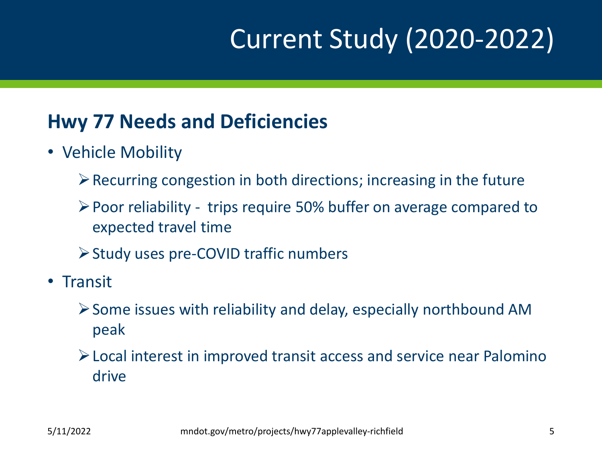## Current Study (2020-2022)

## **Hwy 77 Needs and Deficiencies**

- Vehicle Mobility
	- $\triangleright$  Recurring congestion in both directions; increasing in the future
	- Poor reliability trips require 50% buffer on average compared to expected travel time
	- **≻ Study uses pre-COVID traffic numbers**
- Transit
	- $\triangleright$  Some issues with reliability and delay, especially northbound AM peak
	- Local interest in improved transit access and service near Palomino drive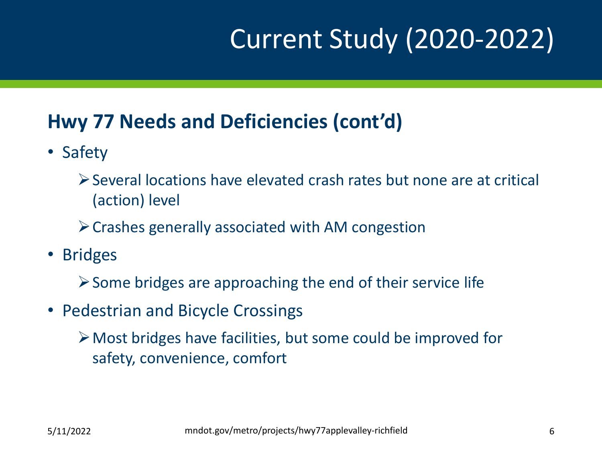## Current Study (2020-2022)

## **Hwy 77 Needs and Deficiencies (cont'd)**

- Safety
	- Several locations have elevated crash rates but none are at critical (action) level
	- $\triangleright$  Crashes generally associated with AM congestion
- Bridges
	- $\triangleright$  Some bridges are approaching the end of their service life
- Pedestrian and Bicycle Crossings
	- Most bridges have facilities, but some could be improved for safety, convenience, comfort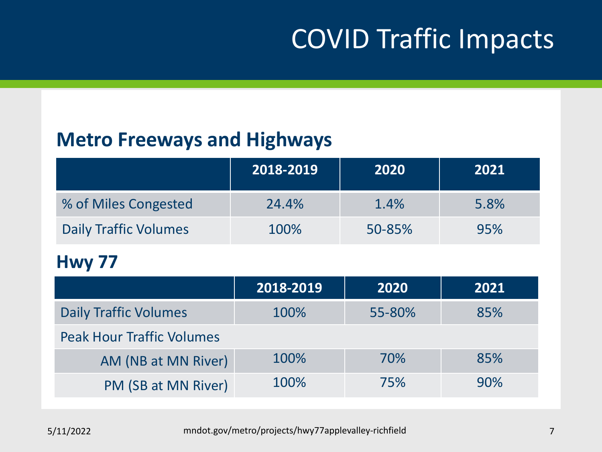## COVID Traffic Impacts

### **Metro Freeways and Highways**

|                       | 2018-2019 | 2020   | 2021 |
|-----------------------|-----------|--------|------|
| % of Miles Congested  | 24.4%     | 1.4%   | 5.8% |
| Daily Traffic Volumes | 100%      | 50-85% | 95%  |

#### **Hwy 77**

|                                  | 2018-2019 | 2020   | 2021 |
|----------------------------------|-----------|--------|------|
| <b>Daily Traffic Volumes</b>     | 100%      | 55-80% | 85%  |
| <b>Peak Hour Traffic Volumes</b> |           |        |      |
| AM (NB at MN River)              | 100%      | 70%    | 85%  |
| PM (SB at MN River)              | 100%      | 75%    | 90%  |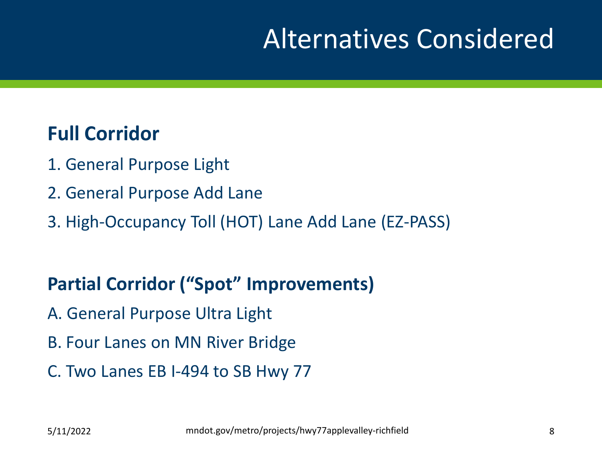## Alternatives Considered

#### **Full Corridor**

- 1. General Purpose Light
- 2. General Purpose Add Lane
- 3. High-Occupancy Toll (HOT) Lane Add Lane (EZ-PASS)

#### **Partial Corridor ("Spot" Improvements)**

- A. General Purpose Ultra Light
- B. Four Lanes on MN River Bridge
- C. Two Lanes EB I-494 to SB Hwy 77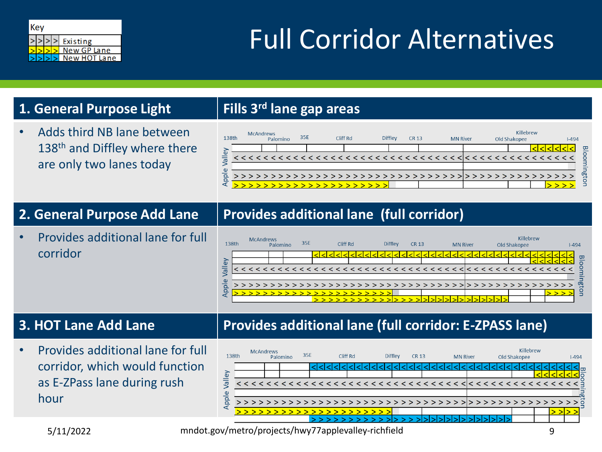

## Full Corridor Alternatives

#### **1. General Purpose Light Fills 3rd lane gap areas**

• Adds third NB lane between 138<sup>th</sup> and Diffley where there are only two lanes today

| 138th    |  | <b>McAndrews</b> | Palomino |                  | 35E |  |  |  | Cliff Rd |  |  |  | <b>Diffley</b> |  | CR 13 |  |  | <b>MN River</b> |  |  |  | Old Shakopee |  | Killebrew |  |  | $1 - 494$ |                              |
|----------|--|------------------|----------|------------------|-----|--|--|--|----------|--|--|--|----------------|--|-------|--|--|-----------------|--|--|--|--------------|--|-----------|--|--|-----------|------------------------------|
| ΘŅ       |  |                  |          |                  |     |  |  |  |          |  |  |  |                |  |       |  |  |                 |  |  |  |              |  |           |  |  |           | $\mathbf{\overline{\omega}}$ |
| ā        |  |                  |          |                  |     |  |  |  |          |  |  |  |                |  |       |  |  |                 |  |  |  |              |  |           |  |  |           |                              |
| $\omega$ |  |                  |          |                  |     |  |  |  |          |  |  |  |                |  |       |  |  |                 |  |  |  |              |  |           |  |  |           |                              |
| ppl      |  |                  |          |                  |     |  |  |  |          |  |  |  |                |  |       |  |  |                 |  |  |  |              |  |           |  |  |           | σq                           |
|          |  |                  |          | >>>>>>>>>>>>>>>> |     |  |  |  |          |  |  |  |                |  |       |  |  |                 |  |  |  |              |  |           |  |  |           |                              |

#### **2. General Purpose Add Lane Provides additional lane (full corridor)**

• Provides additional lane for full corridor



• Provides additional lane for full corridor, which would function as E-ZPass lane during rush hour

#### **3. HOT Lane Add Lane Provides additional lane (full corridor: E-ZPASS lane)**



5/11/2022 mndot.gov/metro/projects/hwy77applevalley-richfield 9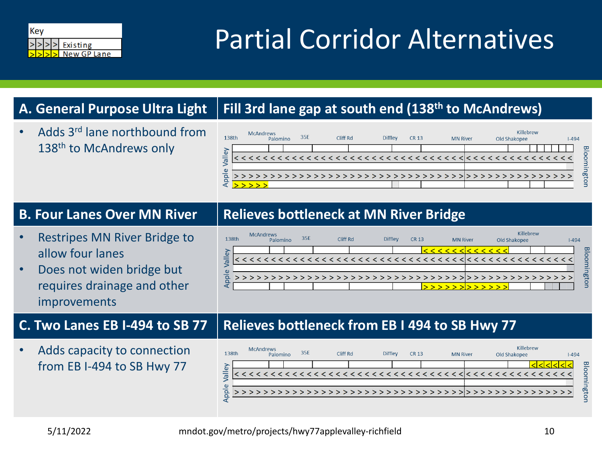

## Partial Corridor Alternatives

#### **A. General Purpose Ultra Light Fill 3rd lane gap at south end (138th to McAndrews)**

• Adds 3rd lane northbound from 138<sup>th</sup> to McAndrews only

#### Killebrew **McAndrews** 35E 138th Diffley Cliff Rd **CR 13** Palomino **MN River** Old Shakopee  $1 - 494$ Valley oomington Appl >>>>>>>>>>>> >>>>>>>>>>>>>>>>>>>>>>>>>>>>>>>>>>>>

- Restripes MN River Bridge to allow four lanes
- Does not widen bridge but requires drainage and other improvements

• Adds capacity to connection from EB I-494 to SB Hwy 77



#### **C. Two Lanes EB I-494 to SB 77 Relieves bottleneck from EB I 494 to SB Hwy 77**



 $>$  > > > >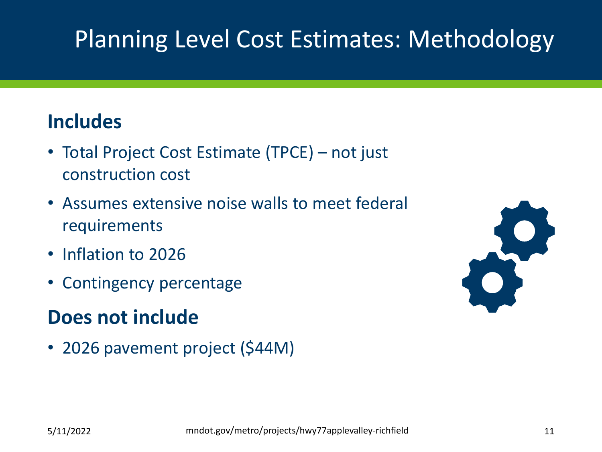## Planning Level Cost Estimates: Methodology

## **Includes**

- Total Project Cost Estimate (TPCE) not just construction cost
- Assumes extensive noise walls to meet federal requirements
- Inflation to 2026
- Contingency percentage

## **Does not include**

• 2026 pavement project (\$44M)

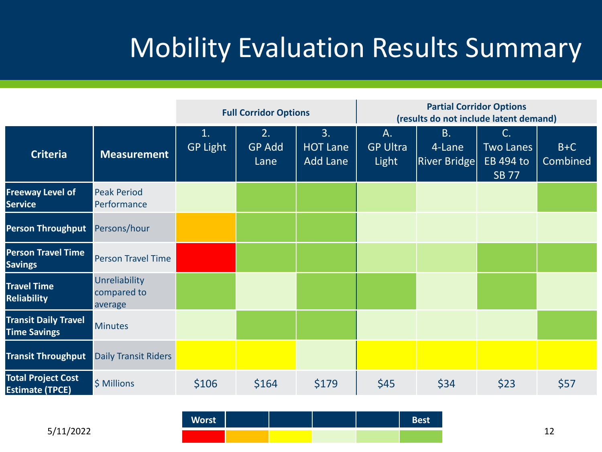## Mobility Evaluation Results Summary

|                                                     |                                         |                                   | <b>Full Corridor Options</b> |                                          | <b>Partial Corridor Options</b><br>(results do not include latent demand) |                                            |                                                     |                   |  |  |  |  |  |  |  |  |
|-----------------------------------------------------|-----------------------------------------|-----------------------------------|------------------------------|------------------------------------------|---------------------------------------------------------------------------|--------------------------------------------|-----------------------------------------------------|-------------------|--|--|--|--|--|--|--|--|
| <b>Criteria</b>                                     | <b>Measurement</b>                      | $\mathbf{1}$ .<br><b>GP Light</b> | 2.<br><b>GP Add</b><br>Lane  | 3.<br><b>HOT Lane</b><br><b>Add Lane</b> | A.<br><b>GP Ultra</b><br>Light                                            | <b>B.</b><br>4-Lane<br><b>River Bridge</b> | C.<br><b>Two Lanes</b><br>EB 494 to<br><b>SB 77</b> | $B+C$<br>Combined |  |  |  |  |  |  |  |  |
| <b>Freeway Level of</b><br><b>Service</b>           | <b>Peak Period</b><br>Performance       |                                   |                              |                                          |                                                                           |                                            |                                                     |                   |  |  |  |  |  |  |  |  |
| <b>Person Throughput</b>                            | Persons/hour                            |                                   |                              |                                          |                                                                           |                                            |                                                     |                   |  |  |  |  |  |  |  |  |
| <b>Person Travel Time</b><br><b>Savings</b>         | <b>Person Travel Time</b>               |                                   |                              |                                          |                                                                           |                                            |                                                     |                   |  |  |  |  |  |  |  |  |
| <b>Travel Time</b><br><b>Reliability</b>            | Unreliability<br>compared to<br>average |                                   |                              |                                          |                                                                           |                                            |                                                     |                   |  |  |  |  |  |  |  |  |
| <b>Transit Daily Travel</b><br><b>Time Savings</b>  | <b>Minutes</b>                          |                                   |                              |                                          |                                                                           |                                            |                                                     |                   |  |  |  |  |  |  |  |  |
| <b>Transit Throughput</b>                           | <b>Daily Transit Riders</b>             |                                   |                              |                                          |                                                                           |                                            |                                                     |                   |  |  |  |  |  |  |  |  |
| <b>Total Project Cost</b><br><b>Estimate (TPCE)</b> | \$ Millions                             | \$106                             | \$164                        | \$179                                    | \$45                                                                      | \$34                                       | \$23                                                | \$57              |  |  |  |  |  |  |  |  |

mndot.gov/metro/projects/hwy77applevalley-richfield **Worst Best**

5/11/2022 12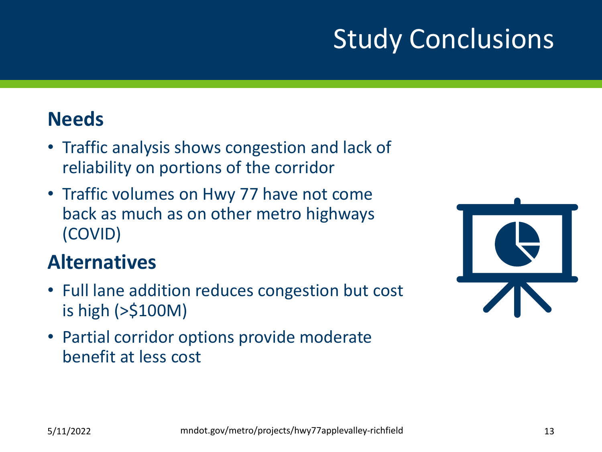## Study Conclusions

### **Needs**

- Traffic analysis shows congestion and lack of reliability on portions of the corridor
- Traffic volumes on Hwy 77 have not come back as much as on other metro highways (COVID)

## **Alternatives**

- Full lane addition reduces congestion but cost is high (>\$100M)
- Partial corridor options provide moderate benefit at less cost

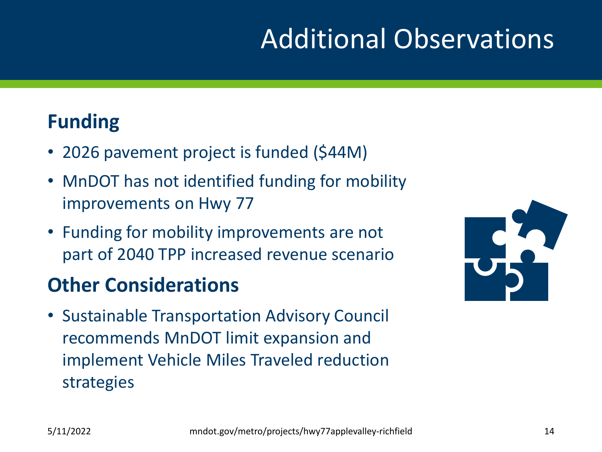## Additional Observations

## **Funding**

- 2026 pavement project is funded (\$44M)
- MnDOT has not identified funding for mobility improvements on Hwy 77
- Funding for mobility improvements are not part of 2040 TPP increased revenue scenario

## **Other Considerations**

• Sustainable Transportation Advisory Council recommends MnDOT limit expansion and implement Vehicle Miles Traveled reduction strategies

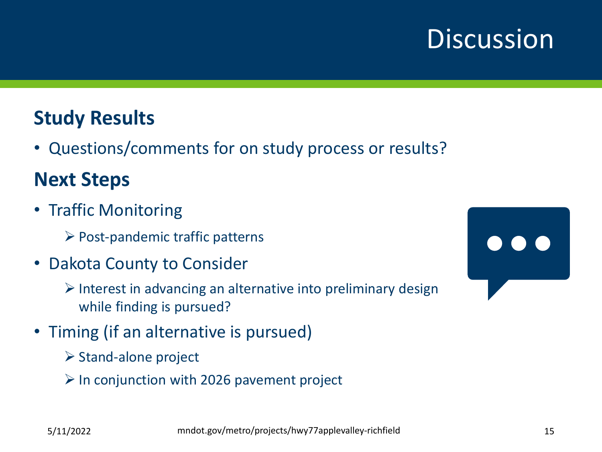## **Discussion**

## **Study Results**

• Questions/comments for on study process or results?

## **Next Steps**

- Traffic Monitoring
	- $\triangleright$  Post-pandemic traffic patterns
- Dakota County to Consider
	- $\triangleright$  Interest in advancing an alternative into preliminary design while finding is pursued?
- Timing (if an alternative is pursued)
	- $\triangleright$  Stand-alone project
	- $\triangleright$  In conjunction with 2026 pavement project